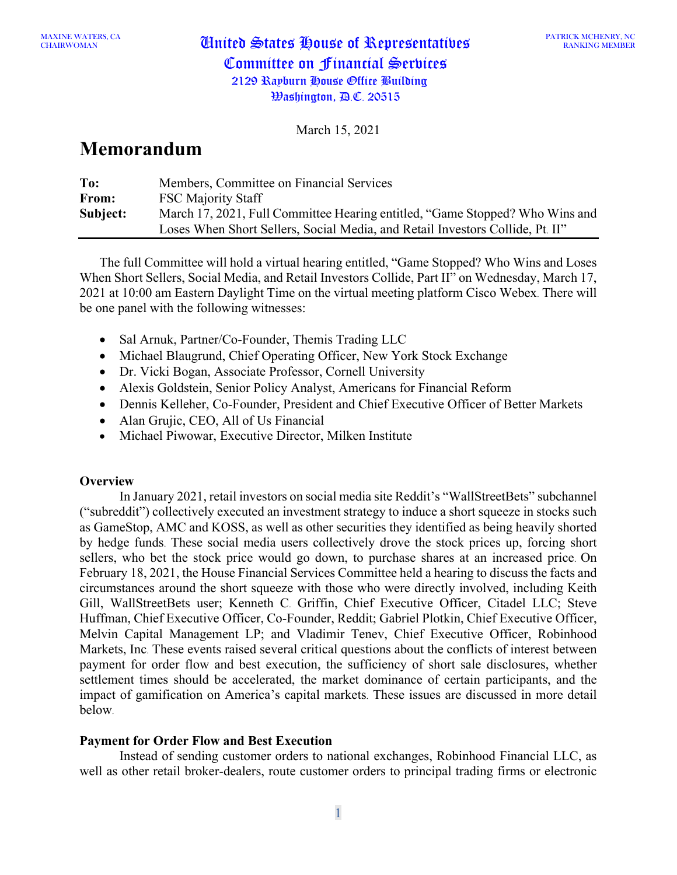# CHAIRWOMAN United States House of Representatives Committee on Financial Services 2129 Rayburn House Office Building Washington, D.C. 20515

March 15, 2021

## **Memorandum**

| To:      | Members, Committee on Financial Services                                      |
|----------|-------------------------------------------------------------------------------|
| From:    | <b>FSC Majority Staff</b>                                                     |
| Subject: | March 17, 2021, Full Committee Hearing entitled, "Game Stopped? Who Wins and  |
|          | Loses When Short Sellers, Social Media, and Retail Investors Collide, Pt. II" |

The full Committee will hold a virtual hearing entitled, "Game Stopped? Who Wins and Loses When Short Sellers, Social Media, and Retail Investors Collide, Part II" on Wednesday, March 17, 2021 at 10:00 am Eastern Daylight Time on the virtual meeting platform Cisco Webex. There will be one panel with the following witnesses:

- Sal Arnuk, Partner/Co-Founder, Themis Trading LLC
- Michael Blaugrund, Chief Operating Officer, New York Stock Exchange
- Dr. Vicki Bogan, Associate Professor, Cornell University
- Alexis Goldstein, Senior Policy Analyst, Americans for Financial Reform
- Dennis Kelleher, Co-Founder, President and Chief Executive Officer of Better Markets
- Alan Grujic, CEO, All of Us Financial
- Michael Piwowar, Executive Director, Milken Institute

## **Overview**

In January 2021, retail investors on social media site Reddit's "WallStreetBets" subchannel ("subreddit") collectively executed an investment strategy to induce a short squeeze in stocks such as GameStop, AMC and KOSS, as well as other securities they identified as being heavily shorted by hedge funds. These social media users collectively drove the stock prices up, forcing short sellers, who bet the stock price would go down, to purchase shares at an increased price. On February 18, 2021, the House Financial Services Committee held a hearing to discuss the facts and circumstances around the short squeeze with those who were directly involved, including Keith Gill, WallStreetBets user; Kenneth C. Griffin, Chief Executive Officer, Citadel LLC; Steve Huffman, Chief Executive Officer, Co-Founder, Reddit; Gabriel Plotkin, Chief Executive Officer, Melvin Capital Management LP; and Vladimir Tenev, Chief Executive Officer, Robinhood Markets, Inc. These events raised several critical questions about the conflicts of interest between payment for order flow and best execution, the sufficiency of short sale disclosures, whether settlement times should be accelerated, the market dominance of certain participants, and the impact of gamification on America's capital markets. These issues are discussed in more detail below.

## **Payment for Order Flow and Best Execution**

Instead of sending customer orders to national exchanges, Robinhood Financial LLC, as well as other retail broker-dealers, route customer orders to principal trading firms or electronic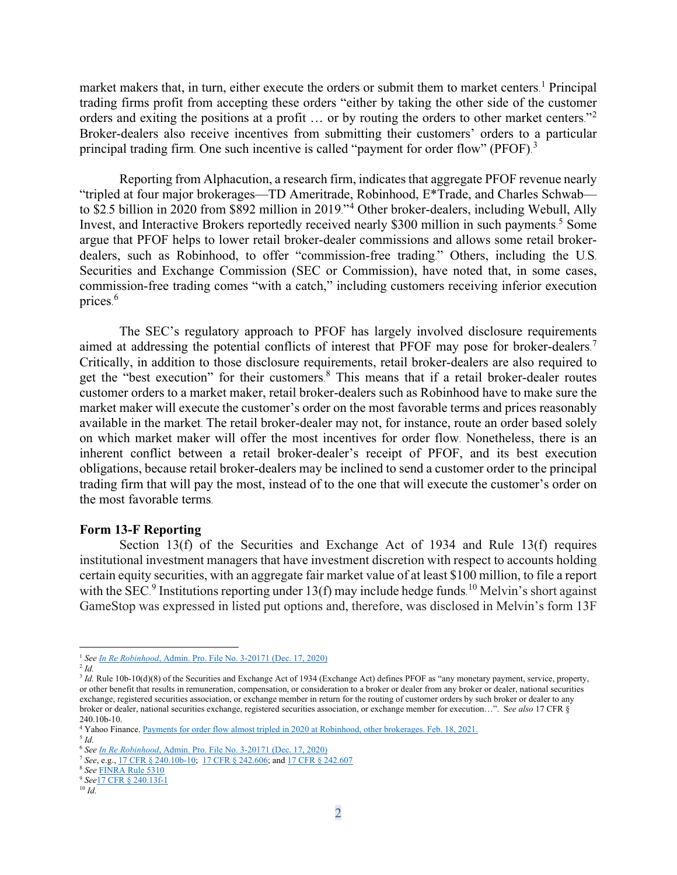market makers that, in turn, either execute the orders or submit them to market centers.<sup>[1](#page-1-0)</sup> Principal trading firms profit from accepting these orders "either by taking the other side of the customer orders and exiting the positions at a profit ... or by routing the orders to other market centers."<sup>[2](#page-1-1)</sup> Broker-dealers also receive incentives from submitting their customers' orders to a particular principal trading firm. One such incentive is called "payment for order flow" (PFOF).<sup>[3](#page-1-2)</sup>

Reporting from Alphacution, a research firm, indicates that aggregate PFOF revenue nearly "tripled at four major brokerages—TD Ameritrade, Robinhood, E\*Trade, and Charles Schwab to \$2.5 billion in 2020 from \$892 million in 2019."[4](#page-1-3) Other broker-dealers, including Webull, Ally Invest, and Interactive Brokers reportedly received nearly \$300 million in such payments. [5](#page-1-4) Some argue that PFOF helps to lower retail broker-dealer commissions and allows some retail brokerdealers, such as Robinhood, to offer "commission-free trading." Others, including the U.S. Securities and Exchange Commission (SEC or Commission), have noted that, in some cases, commission-free trading comes "with a catch," including customers receiving inferior execution prices. [6](#page-1-5)

The SEC's regulatory approach to PFOF has largely involved disclosure requirements aimed at addressing the potential conflicts of interest that PFOF may pose for broker-dealers.<sup>[7](#page-1-6)</sup> Critically, in addition to those disclosure requirements, retail broker-dealers are also required to get the "best execution" for their customers. [8](#page-1-7) This means that if a retail broker-dealer routes customer orders to a market maker, retail broker-dealers such as Robinhood have to make sure the market maker will execute the customer's order on the most favorable terms and prices reasonably available in the market. The retail broker-dealer may not, for instance, route an order based solely on which market maker will offer the most incentives for order flow. Nonetheless, there is an inherent conflict between a retail broker-dealer's receipt of PFOF, and its best execution obligations, because retail broker-dealers may be inclined to send a customer order to the principal trading firm that will pay the most, instead of to the one that will execute the customer's order on the most favorable terms.

#### **Form 13-F Reporting**

Section 13(f) of the Securities and Exchange Act of 1934 and Rule 13(f) requires institutional investment managers that have investment discretion with respect to accounts holding certain equity securities, with an aggregate fair market value of at least \$100 million, to file a report with the SEC.<sup>[9](#page-1-8)</sup> Institutions reporting under 13(f) may include hedge funds.<sup>[10](#page-1-9)</sup> Melvin's short against GameStop was expressed in listed put options and, therefore, was disclosed in Melvin's form 13F

<span id="page-1-0"></span><sup>1</sup> *Se[e In Re Robinhood](https://www.sec.gov/litigation/admin/2020/33-10906.pdf)*, Admin. Pro. File No. 3-20171 (Dec. 17, 2020)

<span id="page-1-1"></span> $^{2}$  *Id.* 

<span id="page-1-2"></span><sup>&</sup>lt;sup>3</sup> *Id.* Rule 10b-10(d)(8) of the Securities and Exchange Act of 1934 (Exchange Act) defines PFOF as "any monetary payment, service, property, or other benefit that results in remuneration, compensation, or consideration to a broker or dealer from any broker or dealer, national securities exchange, registered securities association, or exchange member in return for the routing of customer orders by such broker or dealer to any broker or dealer, national securities exchange, registered securities association, or exchange member for execution…". S*ee also* [17 CFR §](https://www.law.cornell.edu/cfr/text/17/240.10b-10)  [240.10b-10.](https://www.law.cornell.edu/cfr/text/17/240.10b-10)

<sup>4</sup> Yahoo Finance. [Payments for order flow almost tripled in 2020 at Robinhood, other brokerages.](https://money.yahoo.com/payments-for-order-flow-exploded-in-2020-215034948.html) Feb. 18, 2021.

<span id="page-1-4"></span><span id="page-1-3"></span><sup>5</sup> *Id.*

<span id="page-1-5"></span><sup>6</sup> *Se[e In Re Robinhood](https://www.sec.gov/litigation/admin/2020/33-10906.pdf)*, Admin. Pro. File No. 3-20171 (Dec. 17, 2020)

<span id="page-1-6"></span><sup>7</sup> *See*, e.g., [17 CFR § 240.10b-10;](https://www.law.cornell.edu/cfr/text/17/240.10b-10) [17 CFR § 242.606;](https://www.law.cornell.edu/cfr/text/17/242.606) an[d 17 CFR § 242.607](https://www.law.cornell.edu/cfr/text/17/242.606)

<sup>8</sup> *See* [FINRA Rule 5310](https://www.finra.org/rules-guidance/rulebooks/finra-rules/5310)

<span id="page-1-9"></span><span id="page-1-8"></span><span id="page-1-7"></span><sup>9</sup> *See*[17 CFR § 240.13f-1](https://www.law.cornell.edu/cfr/text/17/240.13f-1)

<sup>10</sup> *Id.*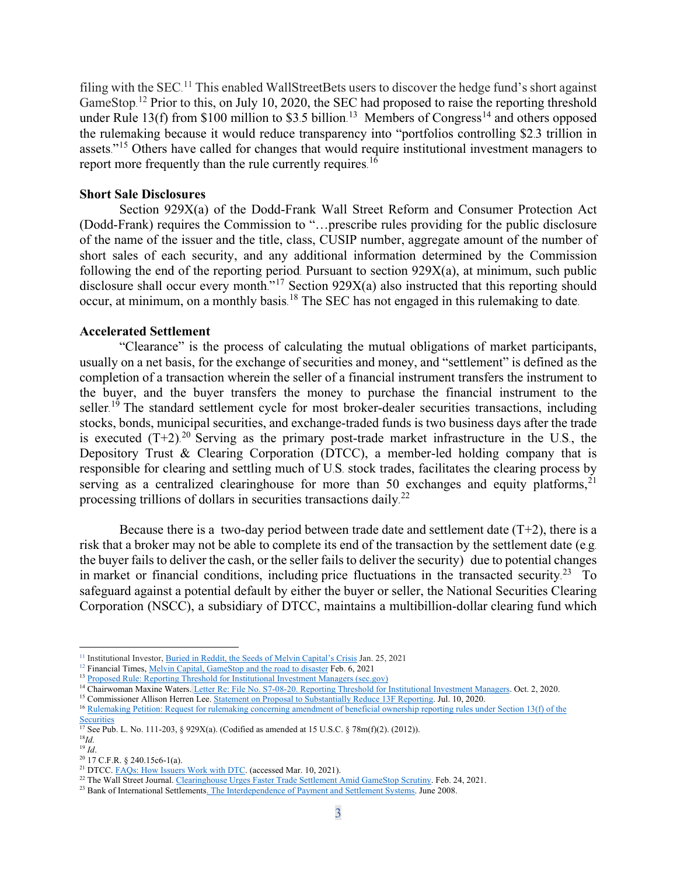filing with the SEC.<sup>[11](#page-2-0)</sup> This enabled WallStreetBets users to discover the hedge fund's short against GameStop.<sup>[12](#page-2-1)</sup> Prior to this, on July 10, 2020, the SEC had proposed to raise the reporting threshold under Rule 13(f) from \$100 million to \$3.5 billion.<sup>13</sup> Members of Congress<sup>[14](#page-2-3)</sup> and others opposed the rulemaking because it would reduce transparency into "portfolios controlling \$2.3 trillion in assets."<sup>[15](#page-2-4)</sup> Others have called for changes that would require institutional investment managers to report more frequently than the rule currently requires.<sup>[16](#page-2-5)</sup>

#### **Short Sale Disclosures**

Section 929X(a) of the Dodd-Frank Wall Street Reform and Consumer Protection Act (Dodd-Frank) requires the Commission to "…prescribe rules providing for the public disclosure of the name of the issuer and the title, class, CUSIP number, aggregate amount of the number of short sales of each security, and any additional information determined by the Commission following the end of the reporting period. Pursuant to section 929X(a), at minimum, such public disclosure shall occur every month."<sup>[17](#page-2-6)</sup> Section 929X(a) also instructed that this reporting should occur, at minimum, on a monthly basis.<sup>[18](#page-2-7)</sup> The SEC has not engaged in this rulemaking to date.

#### **Accelerated Settlement**

"Clearance" is the process of calculating the mutual obligations of market participants, usually on a net basis, for the exchange of securities and money, and "settlement" is defined as the completion of a transaction wherein the seller of a financial instrument transfers the instrument to the buyer, and the buyer transfers the money to purchase the financial instrument to the seller.<sup>[19](#page-2-8)</sup> The standard settlement cycle for most broker-dealer securities transactions, including stocks, bonds, municipal securities, and exchange-traded funds is two business days after the trade is executed  $(T+2)^{20}$  $(T+2)^{20}$  $(T+2)^{20}$  Serving as the primary post-trade market infrastructure in the U.S., the Depository Trust & Clearing Corporation (DTCC), a member-led holding company that is responsible for clearing and settling much of U.S. stock trades, facilitates the clearing process by serving as a centralized clearinghouse for more than 50 exchanges and equity platforms,<sup>[21](#page-2-10)</sup> processing trillions of dollars in securities transactions daily.<sup>[22](#page-2-11)</sup>

Because there is a two-day period between trade date and settlement date  $(T+2)$ , there is a risk that a broker may not be able to complete its end of the transaction by the settlement date (e.g. the buyer fails to deliver the cash, or the seller fails to deliver the security) due to potential changes in market or financial conditions, including price fluctuations in the transacted security.<sup>[23](#page-2-12)</sup> To safeguard against a potential default by either the buyer or seller, the National Securities Clearing Corporation (NSCC), a subsidiary of DTCC, maintains a multibillion-dollar clearing fund which

<span id="page-2-0"></span><sup>&</sup>lt;sup>11</sup> Institutional Investor, [Buried in Reddit, the Seeds of Melvin Capital's Crisis](https://www.institutionalinvestor.com/article/b1q8swwwtgr7nt/Buried-in-Reddit-the-Seeds-of-Melvin-Capital-s-Crisis) Jan. 25, 2021

<span id="page-2-1"></span><sup>&</sup>lt;sup>12</sup> Financial Times, [Melvin Capital, GameStop and the road to disaster](https://www.ft.com/content/3f6b47f9-70c7-4839-8bb4-6a62f1bd39e0) Feb. 6, 2021

<sup>&</sup>lt;sup>13</sup> [Proposed Rule: Reporting Threshold for Institutional Investment Managers \(sec.gov\)](https://www.sec.gov/rules/proposed/2020/34-89290.pdf)

<span id="page-2-4"></span><span id="page-2-3"></span><span id="page-2-2"></span><sup>&</sup>lt;sup>14</sup> Chairwoman Maxine Waters. [Letter Re: File No. S7-08-20. Reporting Threshold for Institutional Investment Managers.](https://financialservices.house.gov/uploadedfiles/ltr_cmw_to_sec_re_13f.pdf) Oct. 2, 2020.

<sup>&</sup>lt;sup>15</sup> Commissioner Allison Herren Lee[. Statement on Proposal to Substantially Reduce 13F Reporting.](https://www.sec.gov/news/public-statement/lee-13f-reporting-2020-07-10) Jul. 10, 2020.

<span id="page-2-5"></span><sup>16</sup> [Rulemaking Petition: Request for rulemaking concerning amendment of beneficial ownership reporting rules under Section 13\(f\) of the](https://www.sec.gov/rules/petitions/2013/petn4-659.pdf)  **[Securities](https://www.sec.gov/rules/petitions/2013/petn4-659.pdf)** 

<sup>&</sup>lt;sup>17</sup> See Pub. L. No. 111-203, § 929X(a). (Codified as amended at 15 U.S.C. § 78m(f)(2). (2012)).

<span id="page-2-7"></span><span id="page-2-6"></span><sup>18</sup>*Id.*

<span id="page-2-9"></span><span id="page-2-8"></span><sup>19</sup> *Id*. <sup>20</sup> 17 C.F.R. § 240.15c6-1(a).

<span id="page-2-10"></span><sup>&</sup>lt;sup>21</sup> DTCC. [FAQs: How Issuers Work with DTC.](https://www.dtcc.com/settlement-and-asset-services/issuer-services/how-issuers-work-with-dtc) (accessed Mar. 10, 2021).

<span id="page-2-11"></span><sup>&</sup>lt;sup>22</sup> The Wall Street Journal. [Clearinghouse Urges Faster Trade Settlement Amid GameStop Scrutiny.](https://www.wsj.com/articles/clearinghouse-urges-faster-trade-settlement-amid-gamestop-scrutiny-11614175201) Feb. 24, 2021.

<span id="page-2-12"></span><sup>&</sup>lt;sup>23</sup> Bank of International Settlements. [The Interdependence of Payment and Settlement Systems.](https://www.bis.org/cpmi/publ/d84.pdf) June 2008.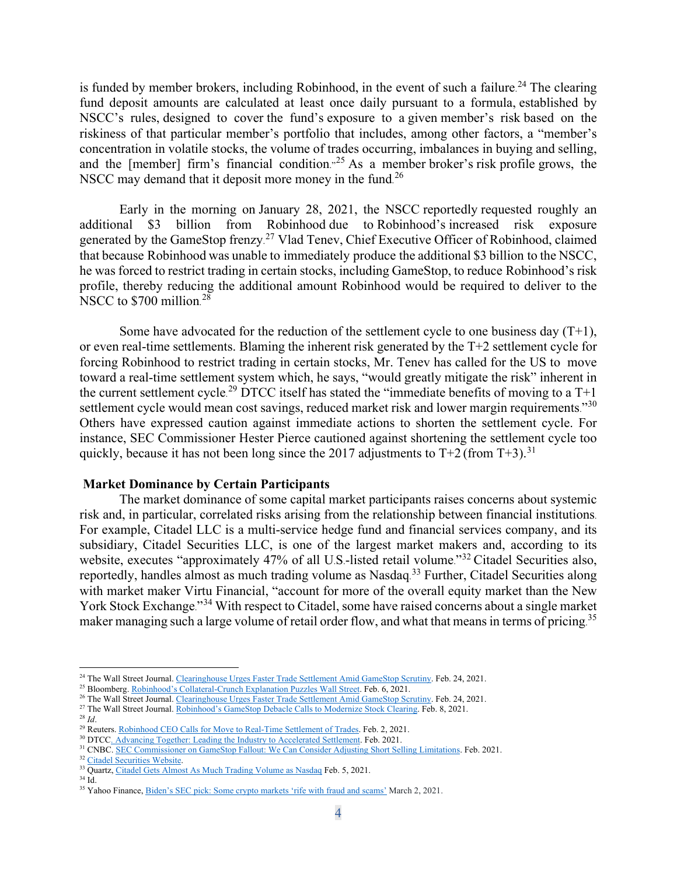is funded by member brokers, including Robinhood, in the event of such a failure.<sup>[24](#page-3-0)</sup> The clearing fund deposit amounts are calculated at least once daily pursuant to a formula, established by NSCC's rules, designed to cover the fund's exposure to a given member's risk based on the riskiness of that particular member's portfolio that includes, among other factors, a "member's concentration in volatile stocks, the volume of trades occurring, imbalances in buying and selling, and the [member] firm's financial condition.<sup> $25$ </sup> As a member broker's risk profile grows, the NSCC may demand that it deposit more money in the fund.<sup>[26](#page-3-2)</sup>

Early in the morning on January 28, 2021, the NSCC reportedly requested roughly an additional \$3 billion from Robinhood due to Robinhood's increased risk exposure generated by the GameStop frenzy.<sup>[27](#page-3-3)</sup> Vlad Tenev, Chief Executive Officer of Robinhood, claimed that because Robinhood was unable to immediately produce the additional \$3 billion to the NSCC, he was forced to restrict trading in certain stocks, including GameStop, to reduce Robinhood's risk profile, thereby reducing the additional amount Robinhood would be required to deliver to the NSCC to \$700 million. [28](#page-3-4)

Some have advocated for the reduction of the settlement cycle to one business day  $(T+1)$ , or even real-time settlements. Blaming the inherent risk generated by the T+2 settlement cycle for forcing Robinhood to restrict trading in certain stocks, Mr. Tenev has called for the US to move toward a real-time settlement system which, he says, "would greatly mitigate the risk" inherent in the current settlement cycle.<sup>[29](#page-3-5)</sup> DTCC itself has stated the "immediate benefits of moving to a T+1 settlement cycle would mean cost savings, reduced market risk and lower margin requirements."<sup>[30](#page-3-6)</sup> Others have expressed caution against immediate actions to shorten the settlement cycle. For instance, SEC Commissioner Hester Pierce cautioned against shortening the settlement cycle too quickly, because it has not been long since the 2017 adjustments to  $T+2$  (from  $T+3$ ).<sup>[31](#page-3-7)</sup>

#### **Market Dominance by Certain Participants**

The market dominance of some capital market participants raises concerns about systemic risk and, in particular, correlated risks arising from the relationship between financial institutions. For example, Citadel LLC is a multi-service hedge fund and financial services company, and its subsidiary, Citadel Securities LLC, is one of the largest market makers and, according to its website, executes "approximately 47% of all U.S.-listed retail volume."<sup>[32](#page-3-8)</sup> Citadel Securities also, reportedly, handles almost as much trading volume as Nasdaq.<sup>[33](#page-3-9)</sup> Further, Citadel Securities along with market maker Virtu Financial, "account for more of the overall equity market than the New York Stock Exchange."[34](#page-3-10) With respect to Citadel, some have raised concerns about a single market maker managing such a large volume of retail order flow, and what that means in terms of pricing. [35](#page-3-11)

<span id="page-3-0"></span><sup>&</sup>lt;sup>24</sup> The Wall Street Journal. [Clearinghouse Urges Faster Trade Settlement Amid GameStop Scrutiny.](https://www.wsj.com/articles/clearinghouse-urges-faster-trade-settlement-amid-gamestop-scrutiny-11614175201) Feb. 24, 2021.

<span id="page-3-1"></span><sup>&</sup>lt;sup>25</sup> Bloomberg. [Robinhood's Collateral-Crunch Explanation Puzzles Wall Street.](https://www.bloomberg.com/news/articles/2021-02-06/robinhood-s-collateral-crunch-explanation-puzzles-wall-street) Feb. 6, 2021.

<span id="page-3-2"></span><sup>&</sup>lt;sup>26</sup> The Wall Street Journal. [Clearinghouse Urges Faster Trade Settlement Amid GameStop Scrutiny.](https://www.wsj.com/articles/clearinghouse-urges-faster-trade-settlement-amid-gamestop-scrutiny-11614175201) Feb. 24, 2021.

<sup>&</sup>lt;sup>27</sup> The Wall Street Journal. [Robinhood's GameStop Debacle Calls to Modernize Stock Clearing.](https://www.wsj.com/articles/robinhoods-gamestop-debacle-spurs-calls-to-modernize-stock-clearing-11612780200) Feb. 8, 2021.

<span id="page-3-4"></span><span id="page-3-3"></span><sup>28</sup> *Id*.

<span id="page-3-5"></span><sup>&</sup>lt;sup>29</sup> Reuters. [Robinhood CEO Calls for Move to Real-Time Settlement of Trades.](https://www.reuters.com/article/us-retail-trading-robinhood-ceo/robinhood-ceo-calls-for-move-to-real-time-settlement-of-trades-idINKBN2A22VG) Feb. 2, 2021.

<span id="page-3-6"></span><sup>&</sup>lt;sup>30</sup> DTCC. [Advancing Together: Leading the Industry to Accelerated Settlement.](https://perspectives.dtcc.com/articles/leading-the-industry-to-accelerated-settlement?utm_source=google&utm_medium=cpc&utm_campaign=accelerated_settlement&utm_term=c&utm_content=c&gclid=Cj0KCQiAvvKBBhCXARIsACTePW9KzWqxwbo5KxK1ZzjeTVWDkLCElkXwsFpKBH5uuryboyHvZkRrdh0aAjp-EALw_wcB) Feb. 2021.

<span id="page-3-7"></span><sup>&</sup>lt;sup>31</sup> CNBC. [SEC Commissioner on GameStop Fallout: We Can Consider Adjusting Short Selling Limitations.](https://theglobalherald.com/news/sec-commissioner-on-gamestop-fallout-we-can-consider-adjusting-short-selling-limitations/) Feb. 2021.

<span id="page-3-8"></span><sup>&</sup>lt;sup>32</sup> [Citadel Securities Website.](https://www.citadelsecurities.com/products/equities-and-options/)

<sup>&</sup>lt;sup>33</sup> Quartz, [Citadel Gets Almost As Much Trading Volume as Nasdaq](https://qz.com/1969196/citadel-securities-gets-almost-as-much-trading-volume-as-nasdaq/) Feb. 5, 2021.

<span id="page-3-10"></span><span id="page-3-9"></span><sup>34</sup> Id.

<span id="page-3-11"></span><sup>35</sup> Yahoo Finance[, Biden's SEC pick: Some crypto markets 'rife with fraud and scams'](https://autos.yahoo.com/gensler-cryptocurrencies-rife-with-fraud-and-scams-in-some-markets-195434133.html?guccounter=1) March 2, 2021.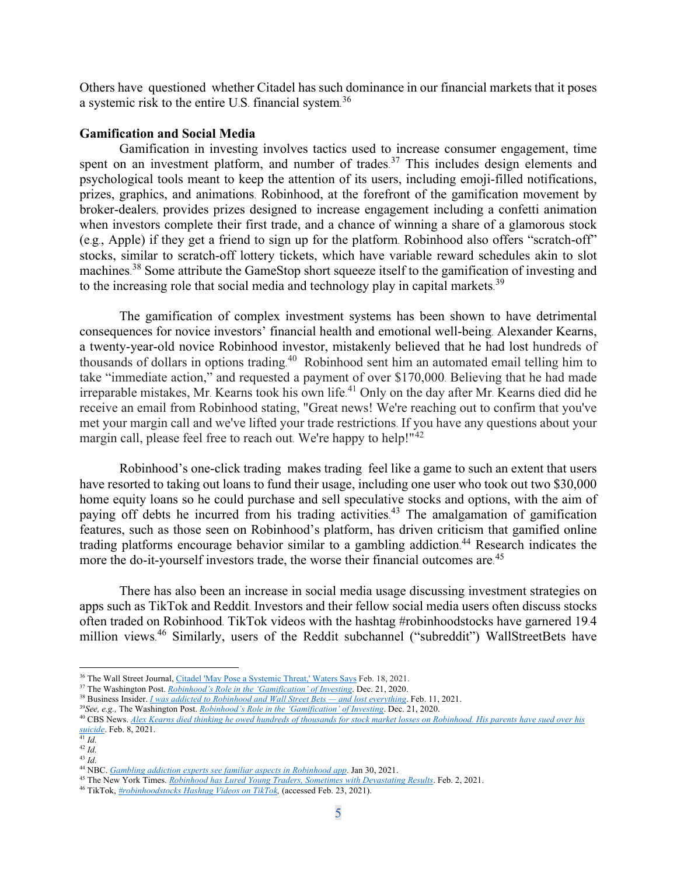Others have questioned whether Citadel has such dominance in our financial markets that it poses a systemic risk to the entire U.S. financial system.<sup>[36](#page-4-0)</sup>

#### **Gamification and Social Media**

Gamification in investing involves tactics used to increase consumer engagement, time spent on an investment platform, and number of trades.<sup>[37](#page-4-1)</sup> This includes design elements and psychological tools meant to keep the attention of its users, including emoji-filled notifications, prizes, graphics, and animations. Robinhood, at the forefront of the gamification movement by broker-dealers, provides prizes designed to increase engagement including a confetti animation when investors complete their first trade, and a chance of winning a share of a glamorous stock (e.g., Apple) if they get a friend to sign up for the platform. Robinhood also offers "scratch-off" stocks, similar to scratch-off lottery tickets, which have variable reward schedules akin to slot machines.<sup>[38](#page-4-2)</sup> Some attribute the GameStop short squeeze itself to the gamification of investing and to the increasing role that social media and technology play in capital markets.<sup>[39](#page-4-3)</sup>

The gamification of complex investment systems has been shown to have detrimental consequences for novice investors' financial health and emotional well-being. Alexander Kearns, a twenty-year-old novice Robinhood investor, mistakenly believed that he had lost hundreds of thousands of dollars in options trading.<sup>[40](#page-4-4)</sup> Robinhood sent him an automated email telling him to take "immediate action," and requested a payment of over \$170,000. Believing that he had made irreparable mistakes, Mr. Kearns took his own life. [41](#page-4-5) Only on the day after Mr. Kearns died did he receive an email from Robinhood stating, "Great news! We're reaching out to confirm that you've met your margin call and we've lifted your trade restrictions. If you have any questions about your margin call, please feel free to reach out. We're happy to help!"[42](#page-4-6)

Robinhood's one-click trading makes trading feel like a game to such an extent that users have resorted to taking out loans to fund their usage, including one user who took out two \$30,000 home equity loans so he could purchase and sell speculative stocks and options, with the aim of paying off debts he incurred from his trading activities.<sup>[43](#page-4-7)</sup> The amalgamation of gamification features, such as those seen on Robinhood's platform, has driven criticism that gamified online trading platforms encourage behavior similar to a gambling addiction. [44](#page-4-8) Research indicates the more the do-it-yourself investors trade, the worse their financial outcomes are.<sup>[45](#page-4-9)</sup>

There has also been an increase in social media usage discussing investment strategies on apps such as TikTok and Reddit. Investors and their fellow social media users often discuss stocks often traded on Robinhood. TikTok videos with the hashtag #robinhoodstocks have garnered 19.4 million views.<sup>[46](#page-4-10)</sup> Similarly, users of the Reddit subchannel ("subreddit") WallStreetBets have

<sup>&</sup>lt;sup>36</sup> The Wall Street Journal[, Citadel 'May Pose a Systemic Threat,' Waters Says](https://www.wsj.com/livecoverage/gamestop-stock-hearing-keith-gill-reddit-robinhood/card/PB8CZ6TKdnvdCqnRmJKf) Feb. 18, 2021.

<span id="page-4-2"></span><span id="page-4-1"></span><span id="page-4-0"></span><sup>&</sup>lt;sup>37</sup> The Washington Post. *[Robinhood's Role in the 'Gamification' of Investing](https://www.washingtonpost.com/business/robinhoods-role-in-the-gamification-of-investing/2020/12/19/83b310ca-41bf-11eb-b58b-1623f6267960_story.html)*. Dec. 21, 2020.

<sup>38</sup> Business Insider. *[I was addicted to Robinhood and Wall Street Bets —](https://www.businessinsider.com/addicted-to-robinhood-wallstreetbets-day-trading-lost-everything-2021-2) and lost everything*. Feb. 11, 2021.

<span id="page-4-3"></span><sup>39</sup>*See, e.g.,* The Washington Post. *[Robinhood's Role in the 'Gamification' of Investing](https://www.washingtonpost.com/business/robinhoods-role-in-the-gamification-of-investing/2020/12/19/83b310ca-41bf-11eb-b58b-1623f6267960_story.html)*. Dec. 21, 2020.

<span id="page-4-4"></span><sup>40</sup> CBS News. *[Alex Kearns died thinking he owed hundreds of thousands for stock market losses on Robinhood.](https://www.cbsnews.com/news/alex-kearns-robinhood-trader-suicide-wrongful-death-suit/) His parents have sued over his [suicide](https://www.cbsnews.com/news/alex-kearns-robinhood-trader-suicide-wrongful-death-suit/)*. Feb. 8, 2021.

<span id="page-4-5"></span> $\frac{d}{41}$  *Id.*  $42$   $\overline{Id}$ .

<span id="page-4-7"></span><span id="page-4-6"></span><sup>43</sup> *Id.*

<span id="page-4-8"></span><sup>44</sup> NBC. *[Gambling addiction experts see familiar aspects in Robinhood app](https://www.nbcnews.com/business/business-news/gambling-addiction-experts-see-familiar-aspects-robinhood-app-n1256213)*. Jan 30, 2021.

<span id="page-4-9"></span><sup>45</sup> The New York Times. *[Robinhood has Lured Young Traders, Sometimes with](https://www.nytimes.com/2020/07/08/technology/robinhood-risky-trading.html) Devastating Results*. Feb. 2, 2021.

<span id="page-4-10"></span><sup>46</sup> TikTok, *[#robinhoodstocks Hashtag Videos on TikTok,](https://www.tiktok.com/tag/robinhoodstocks?source=h5_m)* (accessed Feb. 23, 2021).